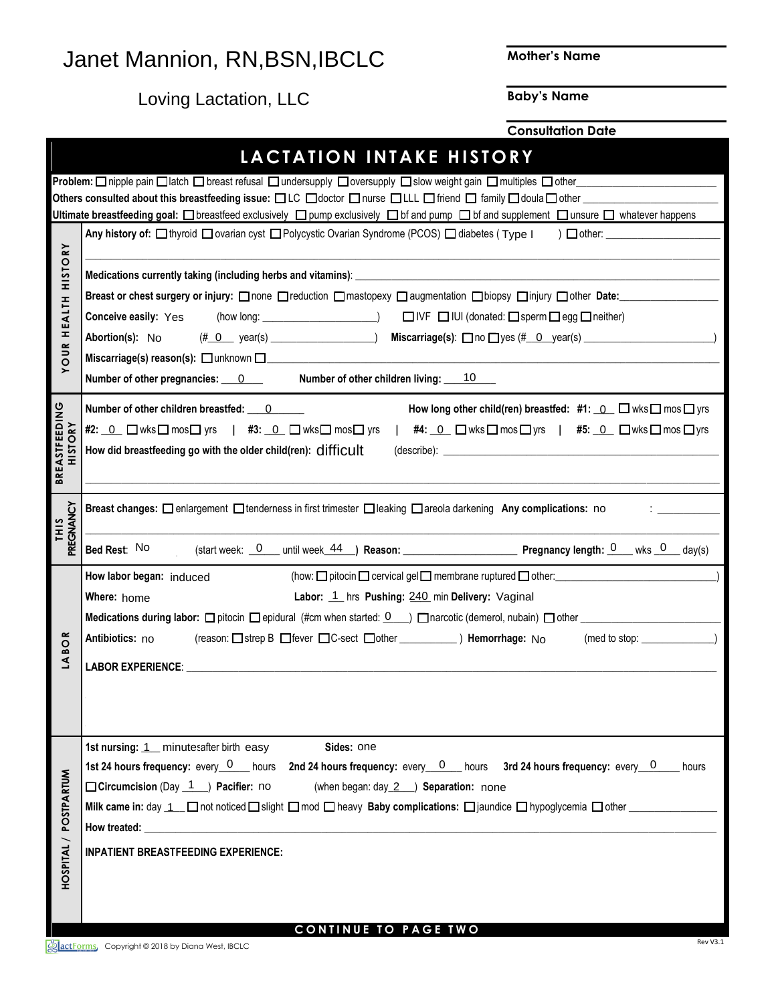## Janet Mannion, RN,BSN,IBCLC

**Mother's Name**

Loving Lactation, LLC

**Baby's Name**

**Consultation Date**

|                                  | LACTATION INTAKE HISTORY                                                                                                                                                                                                                 |
|----------------------------------|------------------------------------------------------------------------------------------------------------------------------------------------------------------------------------------------------------------------------------------|
|                                  | Problem: □ nipple pain □ latch □ breast refusal □ undersupply □ oversupply □ slow weight gain □ multiples □ other                                                                                                                        |
|                                  | Others consulted about this breastfeeding issue: □LC □doctor □nurse □LLL □ friend □ family □ doula □ other __________                                                                                                                    |
|                                  | Ultimate breastfeeding goal: □ breastfeed exclusively □ pump exclusively □ bf and pump □ bf and supplement □ unsure □ whatever happens                                                                                                   |
|                                  |                                                                                                                                                                                                                                          |
| <b>RY</b>                        |                                                                                                                                                                                                                                          |
| <b>OISIH</b>                     |                                                                                                                                                                                                                                          |
|                                  | Breast or chest surgery or injury: <b>none Dreduction Dmastopexy Daugmentation D</b> biopsy Dinjury Dother Date:                                                                                                                         |
|                                  | Conceive easily: Yes view long: (how long: _______________________)<br>Conceive easily: Yes view long: ________________________)   □ IVF □ IUI (donated: □ sperm □ egg □ neither)                                                        |
| <b>HEALTH</b>                    | Abortion(s): No                                                                                                                                                                                                                          |
| $\sim$                           |                                                                                                                                                                                                                                          |
| $\overline{5}$<br>$\succ$        |                                                                                                                                                                                                                                          |
|                                  | Number of other pregnancies: $\sqrt{\mathbf{v}}$ Number of other children living: $1/\mathbf{v}$                                                                                                                                         |
|                                  | Number of other children breastfed: $0 \blacktriangleright$ $\blacktriangleright$ How long other child(ren) breastfed: #1: $\blacktriangleright$ Mus $\Box$ mos $\Box$ yrs                                                               |
| <b>BREASTFEEDING</b>             | #2: <u>(▼ロwksロmosロ yrs   #3: (▼ロwksロmosロ yrs   #4: (▼ロwksロmosロyrs   #5: (▼ロwksロmosロyrs</u>                                                                                                                                               |
| <b>HISTORY</b>                   |                                                                                                                                                                                                                                          |
|                                  |                                                                                                                                                                                                                                          |
|                                  |                                                                                                                                                                                                                                          |
|                                  | $ \mathbf{v} $<br>Breast changes: □ enlargement □ tenderness in first trimester □ leaking □ areola darkening Any complications: no                                                                                                       |
| PREGNANCY<br><b>THIS</b>         |                                                                                                                                                                                                                                          |
|                                  | $\triangledown$ (start week: $\frac{d\triangledown}{d\cdot}$ until week $\frac{44\triangledown}{d\cdot}$ Reason: Pregnancy length: $\frac{0\triangledown}{d\cdot}$ wks $\frac{1\triangledown}{d\cdot}$ day(s)<br>Bed Restː <sup>NO</sup> |
|                                  |                                                                                                                                                                                                                                          |
|                                  | How labor began: induced                                                                                                                                                                                                                 |
|                                  | ► Labor: 1 ► s Pushing: 2 ► min Delivery: Vaginal<br>$\blacktriangledown$<br>Where: home                                                                                                                                                 |
|                                  |                                                                                                                                                                                                                                          |
| $\boldsymbol{\alpha}$<br>$\circ$ | Antibiotics: no                                                                                                                                                                                                                          |
| ≃<br>₹                           | <b>LABOR EXPERIENCE:</b>                                                                                                                                                                                                                 |
|                                  |                                                                                                                                                                                                                                          |
|                                  |                                                                                                                                                                                                                                          |
|                                  |                                                                                                                                                                                                                                          |
|                                  |                                                                                                                                                                                                                                          |
|                                  | 1st nursing: $\boxed{\mathbf{v}}$ minu $\boxed{\mathbf{v}}$ after birth easy<br>$\boxed{\mathbf{I}}$ Sides: one                                                                                                                          |
|                                  | 1st 24 hours frequency: every $\overline{(\blacktriangledown)}$ hours 2nd 24 hours frequency: every $\overline{(\blacktriangledown)}$ hours 3rd 24 hours frequency: every $\overline{(\blacktriangledown)}$ hours                        |
|                                  | <b>Circumcision</b> (Day $\boxed{\blacktriangledown}$ ) Pacifier: no<br>$\boxed{\blacktriangleright}$ (when began: day $\boxed{\blacktriangleright}$ Separation: none<br>$\vert \mathbf{v} \vert$                                        |
|                                  |                                                                                                                                                                                                                                          |
|                                  |                                                                                                                                                                                                                                          |
|                                  | <b>INPATIENT BREASTFEEDING EXPERIENCE:</b>                                                                                                                                                                                               |
| HOSPITAL / POSTPARTUM            |                                                                                                                                                                                                                                          |
|                                  |                                                                                                                                                                                                                                          |
|                                  |                                                                                                                                                                                                                                          |
|                                  | CONTINUE TO PAGE TWO                                                                                                                                                                                                                     |